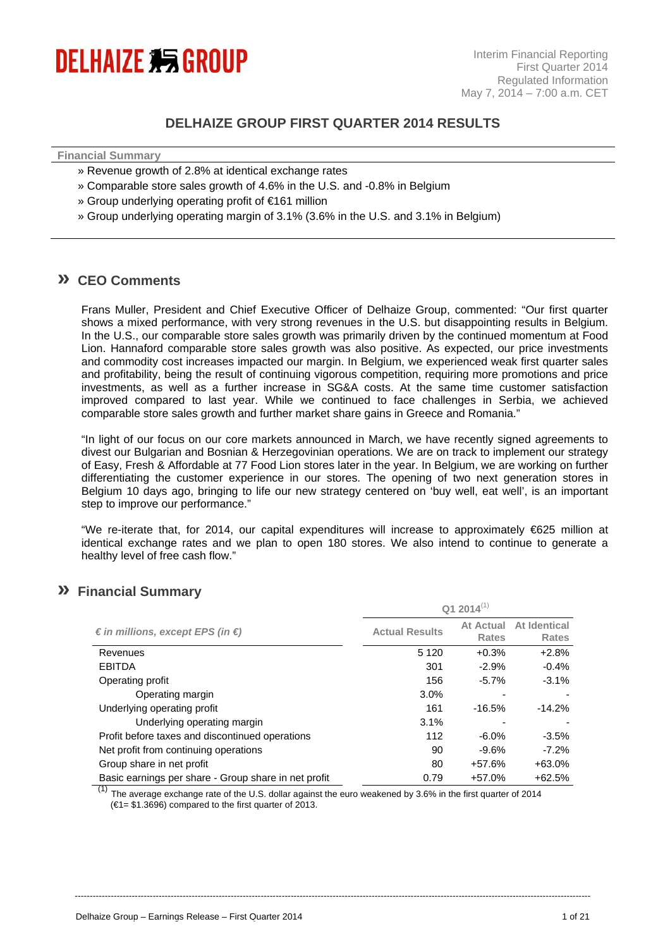

### **DELHAIZE GROUP FIRST QUARTER 2014 RESULTS**

**Financial Summary** 

- » Revenue growth of 2.8% at identical exchange rates
- » Comparable store sales growth of 4.6% in the U.S. and -0.8% in Belgium
- » Group underlying operating profit of €161 million
- » Group underlying operating margin of 3.1% (3.6% in the U.S. and 3.1% in Belgium)

### **» CEO Comments**

Frans Muller, President and Chief Executive Officer of Delhaize Group, commented: "Our first quarter shows a mixed performance, with very strong revenues in the U.S. but disappointing results in Belgium. In the U.S., our comparable store sales growth was primarily driven by the continued momentum at Food Lion. Hannaford comparable store sales growth was also positive. As expected, our price investments and commodity cost increases impacted our margin. In Belgium, we experienced weak first quarter sales and profitability, being the result of continuing vigorous competition, requiring more promotions and price investments, as well as a further increase in SG&A costs. At the same time customer satisfaction improved compared to last year. While we continued to face challenges in Serbia, we achieved comparable store sales growth and further market share gains in Greece and Romania."

"In light of our focus on our core markets announced in March, we have recently signed agreements to divest our Bulgarian and Bosnian & Herzegovinian operations. We are on track to implement our strategy of Easy, Fresh & Affordable at 77 Food Lion stores later in the year. In Belgium, we are working on further differentiating the customer experience in our stores. The opening of two next generation stores in Belgium 10 days ago, bringing to life our new strategy centered on 'buy well, eat well', is an important step to improve our performance."

"We re-iterate that, for 2014, our capital expenditures will increase to approximately €625 million at identical exchange rates and we plan to open 180 stores. We also intend to continue to generate a healthy level of free cash flow."

### **» Financial Summary**

|                                                      | $Q12014^{(1)}$        |                           |                              |  |
|------------------------------------------------------|-----------------------|---------------------------|------------------------------|--|
| $\epsilon$ in millions, except EPS (in $\epsilon$ )  | <b>Actual Results</b> | At Actual<br><b>Rates</b> | At Identical<br><b>Rates</b> |  |
| Revenues                                             | 5 1 2 0               | $+0.3%$                   | $+2.8%$                      |  |
| <b>EBITDA</b>                                        | 301                   | $-2.9%$                   | $-0.4%$                      |  |
| Operating profit                                     | 156                   | $-5.7%$                   | $-3.1%$                      |  |
| Operating margin                                     | 3.0%                  |                           |                              |  |
| Underlying operating profit                          | 161                   | $-16.5%$                  | $-14.2\%$                    |  |
| Underlying operating margin                          | 3.1%                  |                           |                              |  |
| Profit before taxes and discontinued operations      | 112                   | $-6.0%$                   | $-3.5%$                      |  |
| Net profit from continuing operations                | 90                    | $-9.6%$                   | $-7.2\%$                     |  |
| Group share in net profit                            | 80                    | $+57.6%$                  | $+63.0%$                     |  |
| Basic earnings per share - Group share in net profit | 0.79                  | $+57.0%$                  | $+62.5%$                     |  |

 $\overline{^{(1)}}$  The average exchange rate of the U.S. dollar against the euro weakened by 3.6% in the first quarter of 2014  $(61 = $1.3696)$  compared to the first quarter of 2013.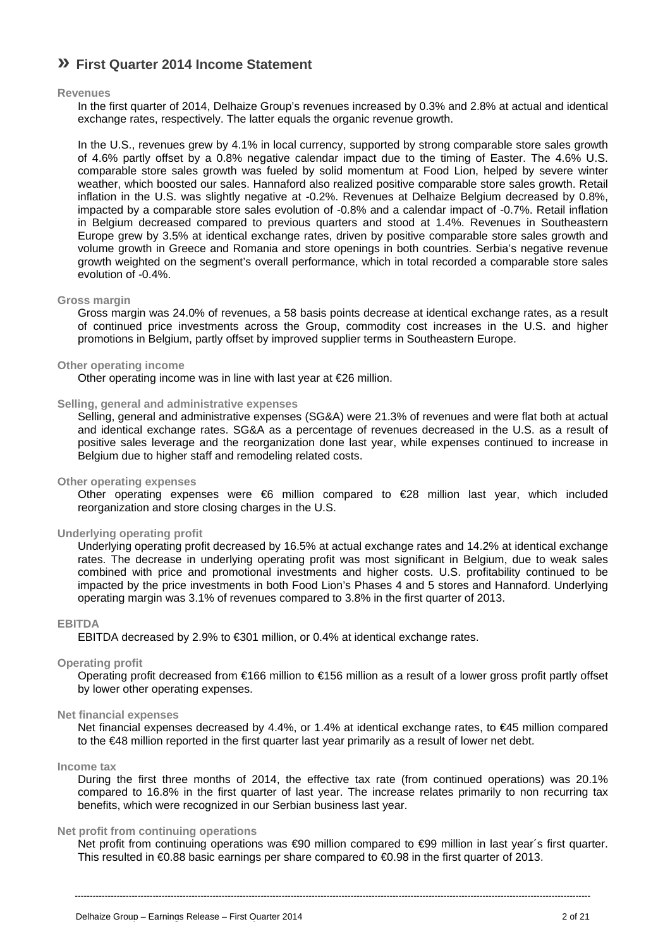# **» First Quarter 2014 Income Statement**

#### **Revenues**

In the first quarter of 2014, Delhaize Group's revenues increased by 0.3% and 2.8% at actual and identical exchange rates, respectively. The latter equals the organic revenue growth.

In the U.S., revenues grew by 4.1% in local currency, supported by strong comparable store sales growth of 4.6% partly offset by a 0.8% negative calendar impact due to the timing of Easter. The 4.6% U.S. comparable store sales growth was fueled by solid momentum at Food Lion, helped by severe winter weather, which boosted our sales. Hannaford also realized positive comparable store sales growth. Retail inflation in the U.S. was slightly negative at -0.2%. Revenues at Delhaize Belgium decreased by 0.8%, impacted by a comparable store sales evolution of -0.8% and a calendar impact of -0.7%. Retail inflation in Belgium decreased compared to previous quarters and stood at 1.4%. Revenues in Southeastern Europe grew by 3.5% at identical exchange rates, driven by positive comparable store sales growth and volume growth in Greece and Romania and store openings in both countries. Serbia's negative revenue growth weighted on the segment's overall performance, which in total recorded a comparable store sales evolution of -0.4%.

#### **Gross margin**

Gross margin was 24.0% of revenues, a 58 basis points decrease at identical exchange rates, as a result of continued price investments across the Group, commodity cost increases in the U.S. and higher promotions in Belgium, partly offset by improved supplier terms in Southeastern Europe.

### **Other operating income**

Other operating income was in line with last year at €26 million.

#### **Selling, general and administrative expenses**

Selling, general and administrative expenses (SG&A) were 21.3% of revenues and were flat both at actual and identical exchange rates. SG&A as a percentage of revenues decreased in the U.S. as a result of positive sales leverage and the reorganization done last year, while expenses continued to increase in Belgium due to higher staff and remodeling related costs.

#### **Other operating expenses**

Other operating expenses were  $\epsilon$  million compared to  $\epsilon$ 28 million last year, which included reorganization and store closing charges in the U.S.

#### **Underlying operating profit**

Underlying operating profit decreased by 16.5% at actual exchange rates and 14.2% at identical exchange rates. The decrease in underlying operating profit was most significant in Belgium, due to weak sales combined with price and promotional investments and higher costs. U.S. profitability continued to be impacted by the price investments in both Food Lion's Phases 4 and 5 stores and Hannaford. Underlying operating margin was 3.1% of revenues compared to 3.8% in the first quarter of 2013.

#### **EBITDA**

EBITDA decreased by 2.9% to €301 million, or 0.4% at identical exchange rates.

#### **Operating profit**

Operating profit decreased from €166 million to €156 million as a result of a lower gross profit partly offset by lower other operating expenses.

#### **Net financial expenses**

Net financial expenses decreased by 4.4%, or 1.4% at identical exchange rates, to €45 million compared to the €48 million reported in the first quarter last year primarily as a result of lower net debt.

#### **Income tax**

During the first three months of 2014, the effective tax rate (from continued operations) was 20.1% compared to 16.8% in the first quarter of last year. The increase relates primarily to non recurring tax benefits, which were recognized in our Serbian business last year.

#### **Net profit from continuing operations**

Net profit from continuing operations was €90 million compared to €99 million in last year´s first quarter. This resulted in €0.88 basic earnings per share compared to €0.98 in the first quarter of 2013.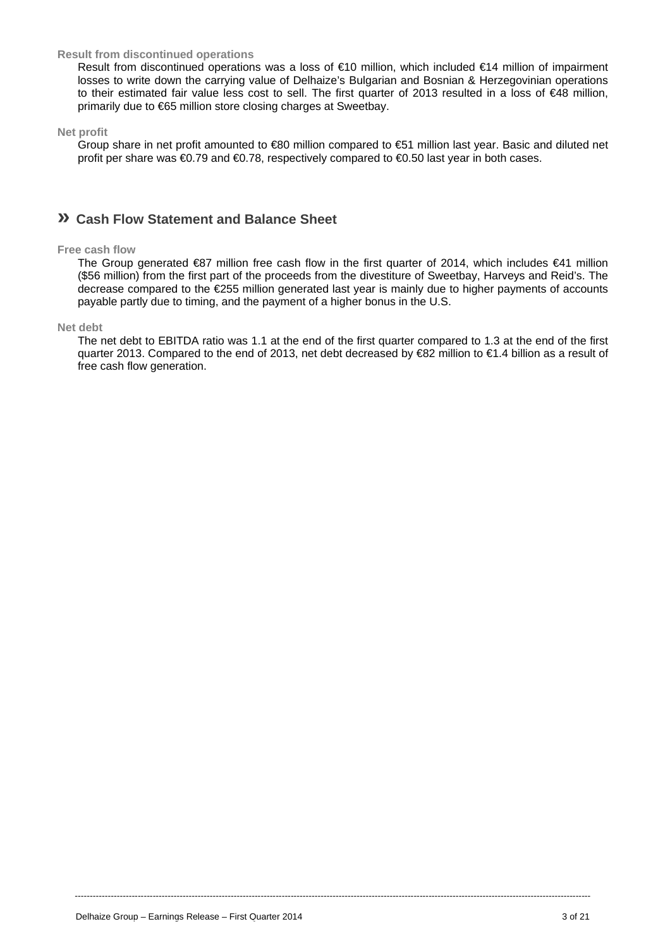#### **Result from discontinued operations**

Result from discontinued operations was a loss of €10 million, which included €14 million of impairment losses to write down the carrying value of Delhaize's Bulgarian and Bosnian & Herzegovinian operations to their estimated fair value less cost to sell. The first quarter of 2013 resulted in a loss of €48 million, primarily due to €65 million store closing charges at Sweetbay.

#### **Net profit**

Group share in net profit amounted to €80 million compared to €51 million last year. Basic and diluted net profit per share was €0.79 and €0.78, respectively compared to €0.50 last year in both cases.

### **» Cash Flow Statement and Balance Sheet**

#### **Free cash flow**

The Group generated €87 million free cash flow in the first quarter of 2014, which includes €41 million (\$56 million) from the first part of the proceeds from the divestiture of Sweetbay, Harveys and Reid's. The decrease compared to the €255 million generated last year is mainly due to higher payments of accounts payable partly due to timing, and the payment of a higher bonus in the U.S.

#### **Net debt**

The net debt to EBITDA ratio was 1.1 at the end of the first quarter compared to 1.3 at the end of the first quarter 2013. Compared to the end of 2013, net debt decreased by €82 million to €1.4 billion as a result of free cash flow generation.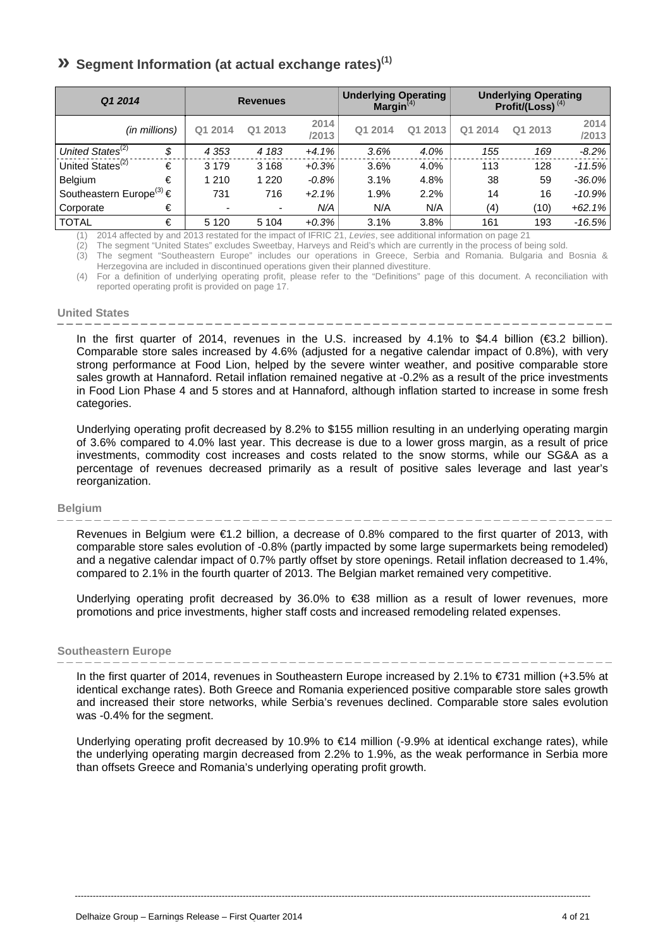# **» Segment Information (at actual exchange rates)(1)**

| Q1 2014                                  |    |         | <b>Revenues</b> |               | <b>Underlying Operating</b><br>Margin $(4)$ |         |         | <b>Underlying Operating</b><br>Profit/(Loss) $(4)$ |               |
|------------------------------------------|----|---------|-----------------|---------------|---------------------------------------------|---------|---------|----------------------------------------------------|---------------|
| (in millions)                            |    | Q1 2014 | Q1 2013         | 2014<br>/2013 | Q1 2014                                     | Q1 2013 | Q1 2014 | Q1 2013                                            | 2014<br>/2013 |
| United States <sup>(2)</sup>             | \$ | 4 3 5 3 | 4 1 8 3         | $+4.1%$       | 3.6%                                        | 4.0%    | 155     | 169                                                | $-8.2\%$      |
| United States <sup>(2)</sup>             | €  | 3 1 7 9 | 3 1 6 8         | $+0.3%$       | 3.6%                                        | 4.0%    | 113     | 128                                                | $-11.5%$      |
| Belgium                                  | €  | 1 2 1 0 | 1 2 2 0         | $-0.8%$       | 3.1%                                        | 4.8%    | 38      | 59                                                 | $-36.0\%$     |
| Southeastern Europe <sup>(3)</sup> $\in$ |    | 731     | 716             | $+2.1%$       | 1.9%                                        | 2.2%    | 14      | 16                                                 | $-10.9\%$     |
| Corporate                                | €  |         | ۰               | N/A           | N/A                                         | N/A     | (4)     | (10)                                               | $+62.1%$      |
| <b>TOTAL</b>                             | €  | 5 1 2 0 | 5 1 0 4         | $+0.3%$       | 3.1%                                        | 3.8%    | 161     | 193                                                | $-16.5%$      |

(1) 2014 affected by and 2013 restated for the impact of IFRIC 21, *Levies*, see additional information on page 21

(2) The segment "United States" excludes Sweetbay, Harveys and Reid's which are currently in the process of being sold.

(3) The segment "Southeastern Europe" includes our operations in Greece, Serbia and Romania. Bulgaria and Bosnia & Herzegovina are included in discontinued operations given their planned divestiture.

(4) For a definition of underlying operating profit, please refer to the "Definitions" page of this document. A reconciliation with reported operating profit is provided on page 17.

#### **United States**

In the first quarter of 2014, revenues in the U.S. increased by 4.1% to \$4.4 billion (€3.2 billion). Comparable store sales increased by 4.6% (adjusted for a negative calendar impact of 0.8%), with very strong performance at Food Lion, helped by the severe winter weather, and positive comparable store sales growth at Hannaford. Retail inflation remained negative at -0.2% as a result of the price investments in Food Lion Phase 4 and 5 stores and at Hannaford, although inflation started to increase in some fresh categories.

Underlying operating profit decreased by 8.2% to \$155 million resulting in an underlying operating margin of 3.6% compared to 4.0% last year. This decrease is due to a lower gross margin, as a result of price investments, commodity cost increases and costs related to the snow storms, while our SG&A as a percentage of revenues decreased primarily as a result of positive sales leverage and last year's reorganization.

#### **Belgium**

Revenues in Belgium were €1.2 billion, a decrease of 0.8% compared to the first quarter of 2013, with comparable store sales evolution of -0.8% (partly impacted by some large supermarkets being remodeled) and a negative calendar impact of 0.7% partly offset by store openings. Retail inflation decreased to 1.4%, compared to 2.1% in the fourth quarter of 2013. The Belgian market remained very competitive.

Underlying operating profit decreased by 36.0% to €38 million as a result of lower revenues, more promotions and price investments, higher staff costs and increased remodeling related expenses.

#### **Southeastern Europe**   $- - - - - - - -$

In the first quarter of 2014, revenues in Southeastern Europe increased by 2.1% to €731 million (+3.5% at identical exchange rates). Both Greece and Romania experienced positive comparable store sales growth and increased their store networks, while Serbia's revenues declined. Comparable store sales evolution was -0.4% for the segment.

Underlying operating profit decreased by 10.9% to €14 million (-9.9% at identical exchange rates), while the underlying operating margin decreased from 2.2% to 1.9%, as the weak performance in Serbia more than offsets Greece and Romania's underlying operating profit growth.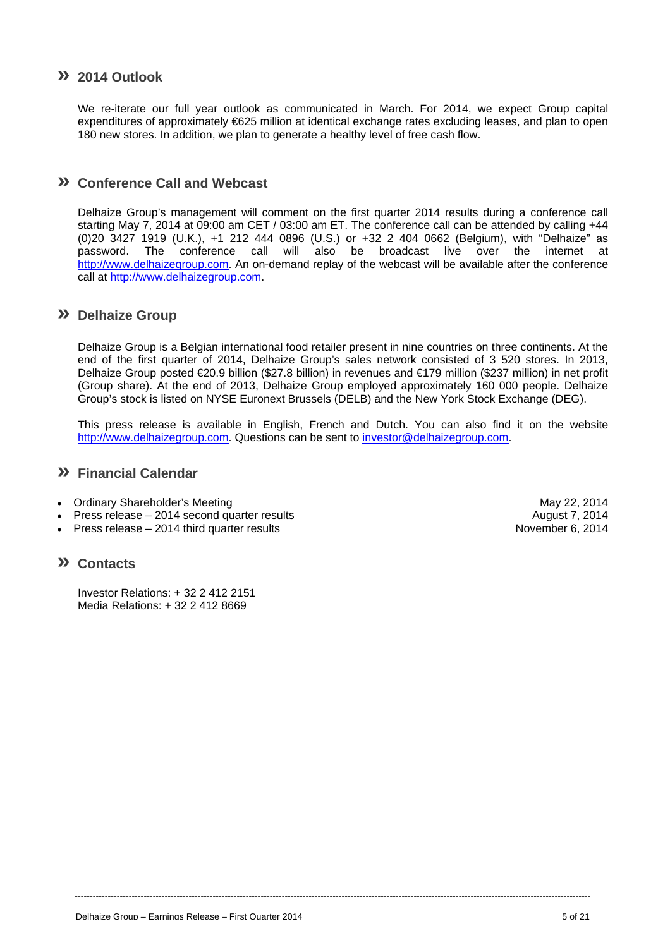### **» 2014 Outlook**

We re-iterate our full year outlook as communicated in March. For 2014, we expect Group capital expenditures of approximately €625 million at identical exchange rates excluding leases, and plan to open 180 new stores. In addition, we plan to generate a healthy level of free cash flow.

### **» Conference Call and Webcast**

Delhaize Group's management will comment on the first quarter 2014 results during a conference call starting May 7, 2014 at 09:00 am CET / 03:00 am ET. The conference call can be attended by calling +44 (0)20 3427 1919 (U.K.), +1 212 444 0896 (U.S.) or +32 2 404 0662 (Belgium), with "Delhaize" as password. The conference call will also be broadcast live over the internet at http://www.delhaizegroup.com. An on-demand replay of the webcast will be available after the conference call at http://www.delhaizegroup.com.

### **» Delhaize Group**

Delhaize Group is a Belgian international food retailer present in nine countries on three continents. At the end of the first quarter of 2014, Delhaize Group's sales network consisted of 3 520 stores. In 2013, Delhaize Group posted €20.9 billion (\$27.8 billion) in revenues and €179 million (\$237 million) in net profit (Group share). At the end of 2013, Delhaize Group employed approximately 160 000 people. Delhaize Group's stock is listed on NYSE Euronext Brussels (DELB) and the New York Stock Exchange (DEG).

This press release is available in English, French and Dutch. You can also find it on the website http://www.delhaizegroup.com. Questions can be sent to investor@delhaizegroup.com.

----------------------------------------------------------------------------------------------------------------------------------------------------------------------------

### **» Financial Calendar**

- Ordinary Shareholder's Meeting May 22, 2014
- Press release 2014 second quarter results August 7, 2014
- Press release 2014 third quarter results November 6, 2014

### **» Contacts**

Investor Relations: + 32 2 412 2151 Media Relations: + 32 2 412 8669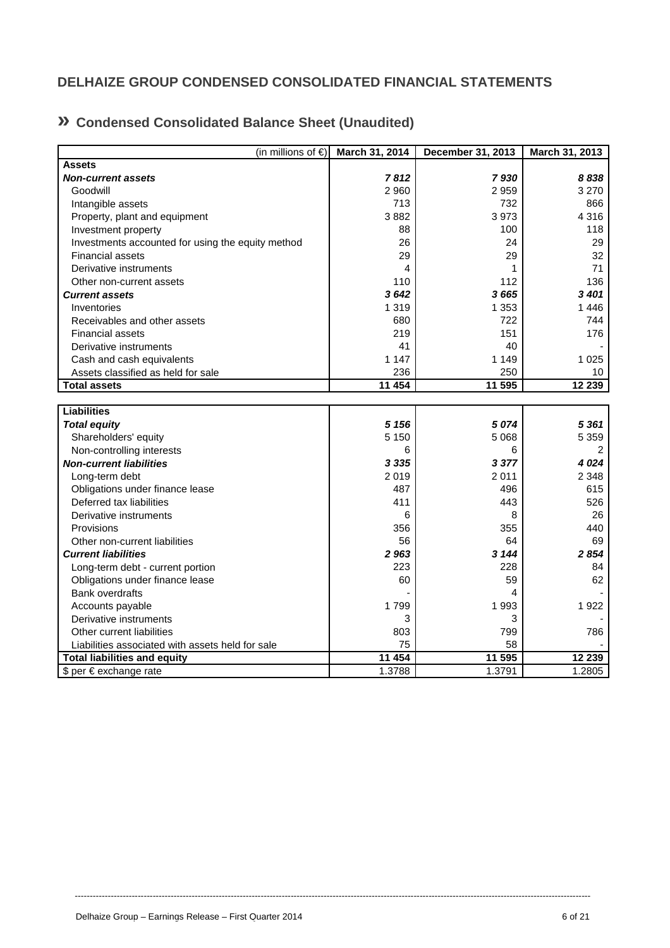# **DELHAIZE GROUP CONDENSED CONSOLIDATED FINANCIAL STATEMENTS**

# **» Condensed Consolidated Balance Sheet (Unaudited)**

| (in millions of $\epsilon$ )                      | March 31, 2014 | December 31, 2013 | March 31, 2013 |
|---------------------------------------------------|----------------|-------------------|----------------|
| <b>Assets</b>                                     |                |                   |                |
| <b>Non-current assets</b>                         | 7812           | 7930              | 8838           |
| Goodwill                                          | 2 9 6 0        | 2959              | 3 2 7 0        |
| Intangible assets                                 | 713            | 732               | 866            |
| Property, plant and equipment                     | 3882           | 3973              | 4 3 1 6        |
| Investment property                               | 88             | 100               | 118            |
| Investments accounted for using the equity method | 26             | 24                | 29             |
| <b>Financial assets</b>                           | 29             | 29                | 32             |
| Derivative instruments                            | 4              | 1                 | 71             |
| Other non-current assets                          | 110            | 112               | 136            |
| <b>Current assets</b>                             | 3642           | 3665              | 3401           |
| Inventories                                       | 1 3 1 9        | 1 3 5 3           | 1446           |
| Receivables and other assets                      | 680            | 722               | 744            |
| <b>Financial assets</b>                           | 219            | 151               | 176            |
| Derivative instruments                            | 41             | 40                |                |
| Cash and cash equivalents                         | 1 1 4 7        | 1 1 4 9           | 1 0 2 5        |
| Assets classified as held for sale                | 236            | 250               | 10             |
| <b>Total assets</b>                               | 11 454         | 11 595            | 12 239         |
|                                                   |                |                   |                |
| <b>Liabilities</b>                                |                |                   |                |
| <b>Total equity</b>                               | 5 1 5 6        | 5074              | 5 3 6 1        |
| Shareholders' equity                              | 5 1 5 0        | 5 0 68            | 5 3 5 9        |
| Non-controlling interests                         | 6              | 6                 | 2              |
| <b>Non-current liabilities</b>                    | 3 3 3 5        | 3 3 7 7           | 4 0 24         |
| Long-term debt                                    | 2019           | 2011              | 2 3 4 8        |
| Obligations under finance lease                   | 487            | 496               | 615            |
| Deferred tax liabilities                          | 411            | 443               | 526            |
| Derivative instruments                            | 6              | 8                 | 26             |
| Provisions                                        | 356            | 355               | 440            |
| Other non-current liabilities                     | 56             | 64                | 69             |
| <b>Current liabilities</b>                        | 2 963          | 3 144             | 2854           |
| Long-term debt - current portion                  | 223            | 228               | 84             |
| Obligations under finance lease                   | 60             | 59                | 62             |
| <b>Bank overdrafts</b>                            |                | 4                 |                |
| Accounts payable                                  | 1799           | 1993              | 1922           |
| Derivative instruments                            | 3              | 3                 |                |
| Other current liabilities                         | 803            | 799               | 786            |
| Liabilities associated with assets held for sale  | 75             | 58                |                |
| <b>Total liabilities and equity</b>               | 11 454         | 11 595            | 12 239         |
| \$ per € exchange rate                            | 1.3788         | 1.3791            | 1.2805         |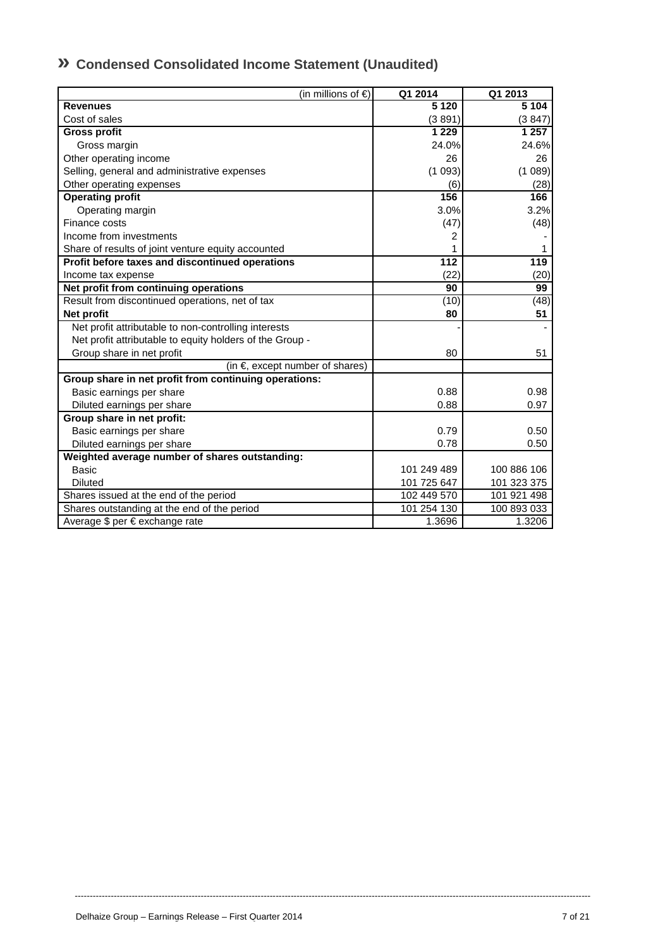| » Condensed Consolidated Income Statement (Unaudited) |
|-------------------------------------------------------|
|-------------------------------------------------------|

| (in millions of $\epsilon$ )                             | Q1 2014          | Q1 2013     |
|----------------------------------------------------------|------------------|-------------|
| <b>Revenues</b>                                          | 5 1 2 0          | 5 1 0 4     |
| Cost of sales                                            | (3891)           | (3847)      |
| <b>Gross profit</b>                                      | 1 2 2 9          | 1 257       |
| Gross margin                                             | 24.0%            | 24.6%       |
| Other operating income                                   | 26               | 26          |
| Selling, general and administrative expenses             | (1093)           | (1089)      |
| Other operating expenses                                 | (6)              | (28)        |
| <b>Operating profit</b>                                  | 156              | 166         |
| Operating margin                                         | 3.0%             | 3.2%        |
| Finance costs                                            | (47)             | (48)        |
| Income from investments                                  | 2                |             |
| Share of results of joint venture equity accounted       | 1                | 1           |
| Profit before taxes and discontinued operations          | $\overline{112}$ | 119         |
| Income tax expense                                       | (22)             | (20)        |
| Net profit from continuing operations                    | 90               | 99          |
| Result from discontinued operations, net of tax          | (10)             | (48)        |
| Net profit                                               | 80               | 51          |
| Net profit attributable to non-controlling interests     |                  |             |
| Net profit attributable to equity holders of the Group - |                  |             |
| Group share in net profit                                | 80               | 51          |
| (in $\epsilon$ , except number of shares)                |                  |             |
| Group share in net profit from continuing operations:    |                  |             |
| Basic earnings per share                                 | 0.88             | 0.98        |
| Diluted earnings per share                               | 0.88             | 0.97        |
| Group share in net profit:                               |                  |             |
| Basic earnings per share                                 | 0.79             | 0.50        |
| Diluted earnings per share                               | 0.78             | 0.50        |
| Weighted average number of shares outstanding:           |                  |             |
| Basic                                                    | 101 249 489      | 100 886 106 |
| <b>Diluted</b>                                           | 101 725 647      | 101 323 375 |
| Shares issued at the end of the period                   | 102 449 570      | 101 921 498 |
| Shares outstanding at the end of the period              | 101 254 130      | 100 893 033 |
| Average \$ per € exchange rate                           | 1.3696           | 1.3206      |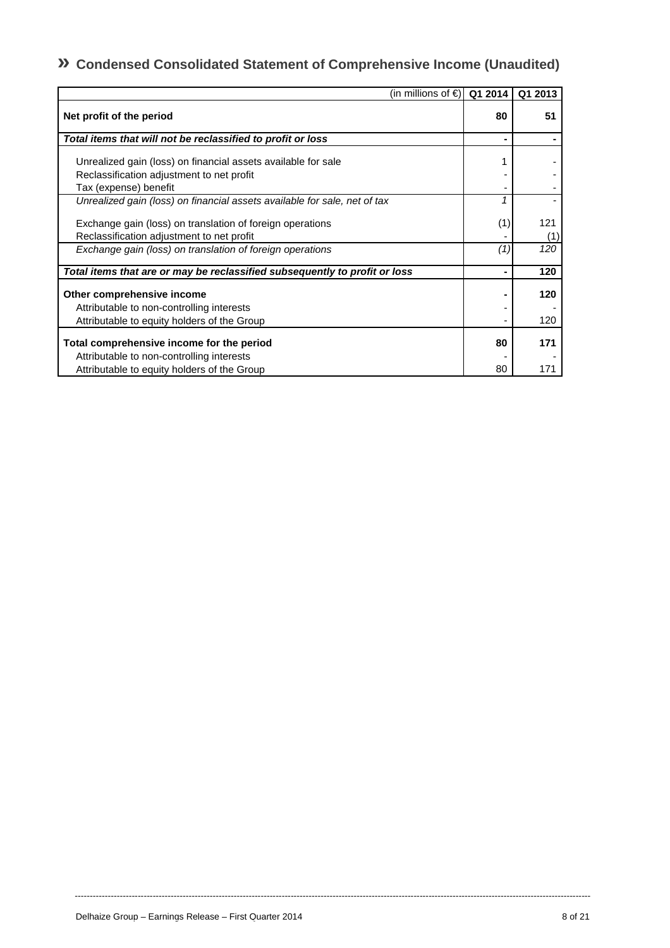# **» Condensed Consolidated Statement of Comprehensive Income (Unaudited)**

| (in millions of €) Q1 2014                                                                             |     | Q1 2013    |
|--------------------------------------------------------------------------------------------------------|-----|------------|
| Net profit of the period                                                                               | 80  | 51         |
| Total items that will not be reclassified to profit or loss                                            |     |            |
| Unrealized gain (loss) on financial assets available for sale                                          | 1   |            |
| Reclassification adjustment to net profit                                                              |     |            |
| Tax (expense) benefit                                                                                  |     |            |
| Unrealized gain (loss) on financial assets available for sale, net of tax                              | 1   |            |
| Exchange gain (loss) on translation of foreign operations<br>Reclassification adjustment to net profit | (1) | 121<br>(1) |
| Exchange gain (loss) on translation of foreign operations                                              | (1) | 120        |
| Total items that are or may be reclassified subsequently to profit or loss                             |     | 120        |
| Other comprehensive income                                                                             |     | 120        |
| Attributable to non-controlling interests                                                              |     |            |
| Attributable to equity holders of the Group                                                            |     | 120        |
| Total comprehensive income for the period                                                              | 80  | 171        |
| Attributable to non-controlling interests                                                              |     |            |
| Attributable to equity holders of the Group                                                            | 80  | 171        |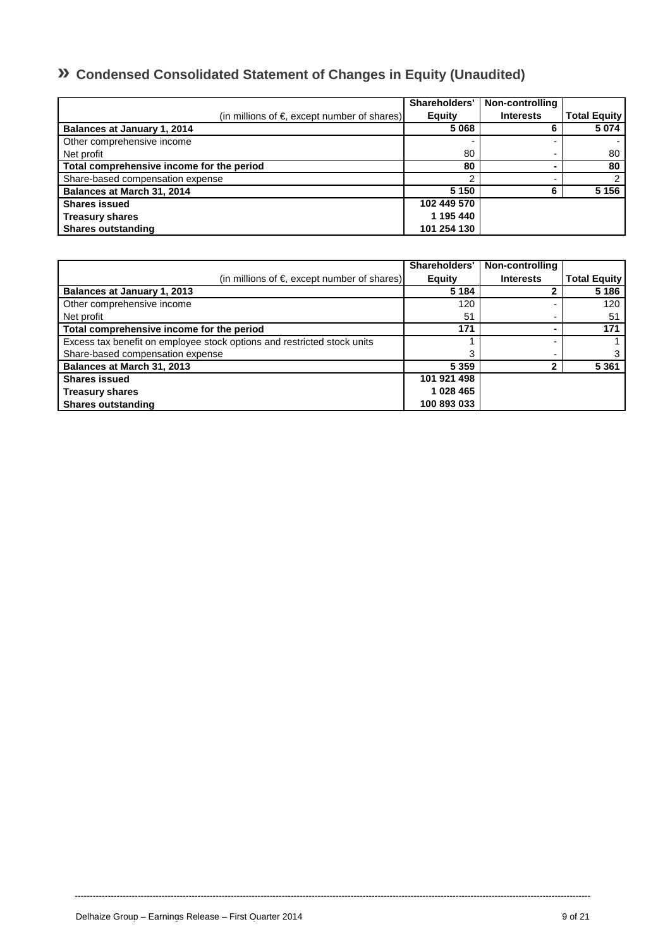# **» Condensed Consolidated Statement of Changes in Equity (Unaudited)**

|                                                       | Shareholders' | Non-controlling  |                     |
|-------------------------------------------------------|---------------|------------------|---------------------|
| (in millions of $\epsilon$ , except number of shares) | <b>Equity</b> | <b>Interests</b> | <b>Total Equity</b> |
| Balances at January 1, 2014                           | 5 0 6 8       |                  | 5 0 7 4             |
| Other comprehensive income                            |               |                  |                     |
| Net profit                                            | 80            |                  | 80                  |
| Total comprehensive income for the period             | 80            |                  | 80                  |
| Share-based compensation expense                      |               |                  | 2                   |
| Balances at March 31, 2014                            | 5 1 5 0       | հ                | 5 1 5 6             |
| <b>Shares issued</b>                                  | 102 449 570   |                  |                     |
| <b>Treasury shares</b>                                | 1 195 440     |                  |                     |
| <b>Shares outstanding</b>                             | 101 254 130   |                  |                     |

|                                                                         | Shareholders' | Non-controlling  |                     |
|-------------------------------------------------------------------------|---------------|------------------|---------------------|
| (in millions of $\epsilon$ , except number of shares)                   | <b>Equity</b> | <b>Interests</b> | <b>Total Equity</b> |
| Balances at January 1, 2013                                             | 5 1 8 4       |                  | 5 1 8 6             |
| Other comprehensive income                                              | 120           |                  | 120                 |
| Net profit                                                              | 51            |                  | 51                  |
| Total comprehensive income for the period                               | 171           |                  | 171                 |
| Excess tax benefit on employee stock options and restricted stock units |               |                  |                     |
| Share-based compensation expense                                        | 3             |                  |                     |
| Balances at March 31, 2013                                              | 5 3 5 9       |                  | 5 3 6 1             |
| <b>Shares issued</b>                                                    | 101 921 498   |                  |                     |
| <b>Treasury shares</b>                                                  | 1 028 465     |                  |                     |
| <b>Shares outstanding</b>                                               | 100 893 033   |                  |                     |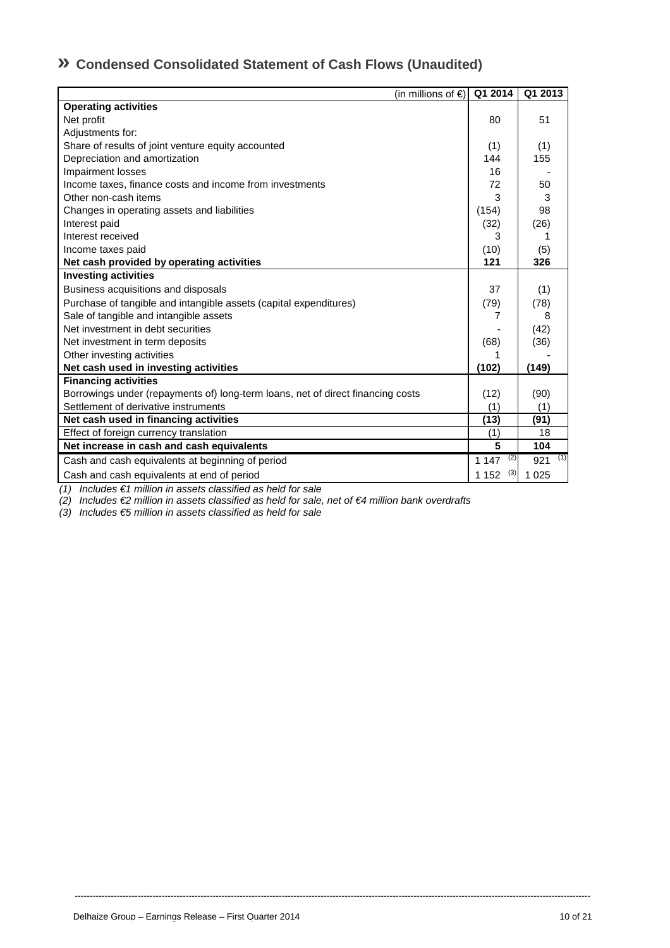# **» Condensed Consolidated Statement of Cash Flows (Unaudited)**

| (in millions of €)                                                              | Q1 2014        | Q1 2013    |
|---------------------------------------------------------------------------------|----------------|------------|
| <b>Operating activities</b>                                                     |                |            |
| Net profit                                                                      | 80             | 51         |
| Adjustments for:                                                                |                |            |
| Share of results of joint venture equity accounted                              | (1)            | (1)        |
| Depreciation and amortization                                                   | 144            | 155        |
| Impairment losses                                                               | 16             |            |
| Income taxes, finance costs and income from investments                         | 72             | 50         |
| Other non-cash items                                                            | 3              | 3          |
| Changes in operating assets and liabilities                                     | (154)          | 98         |
| Interest paid                                                                   | (32)           | (26)       |
| Interest received                                                               | 3              | 1          |
| Income taxes paid                                                               | (10)           | (5)        |
| Net cash provided by operating activities                                       | 121            | 326        |
| <b>Investing activities</b>                                                     |                |            |
| Business acquisitions and disposals                                             | 37             | (1)        |
| Purchase of tangible and intangible assets (capital expenditures)               | (79)           | (78)       |
| Sale of tangible and intangible assets                                          | 7              | 8          |
| Net investment in debt securities                                               |                | (42)       |
| Net investment in term deposits                                                 | (68)           | (36)       |
| Other investing activities                                                      | 1              |            |
| Net cash used in investing activities                                           | (102)          | (149)      |
| <b>Financing activities</b>                                                     |                |            |
| Borrowings under (repayments of) long-term loans, net of direct financing costs | (12)           | (90)       |
| Settlement of derivative instruments                                            | (1)            | (1)        |
| Net cash used in financing activities                                           | (13)           | (91)       |
| Effect of foreign currency translation                                          | (1)            | 18         |
| Net increase in cash and cash equivalents                                       | 5              | 104        |
| Cash and cash equivalents at beginning of period                                | (2)<br>1 1 4 7 | (1)<br>921 |
| Cash and cash equivalents at end of period                                      | (3)<br>1 1 5 2 | 1 0 2 5    |

----------------------------------------------------------------------------------------------------------------------------------------------------------------------------

*(1) Includes €1 million in assets classified as held for sale* 

*(2) Includes €2 million in assets classified as held for sale, net of €4 million bank overdrafts* 

*(3) Includes €5 million in assets classified as held for sale*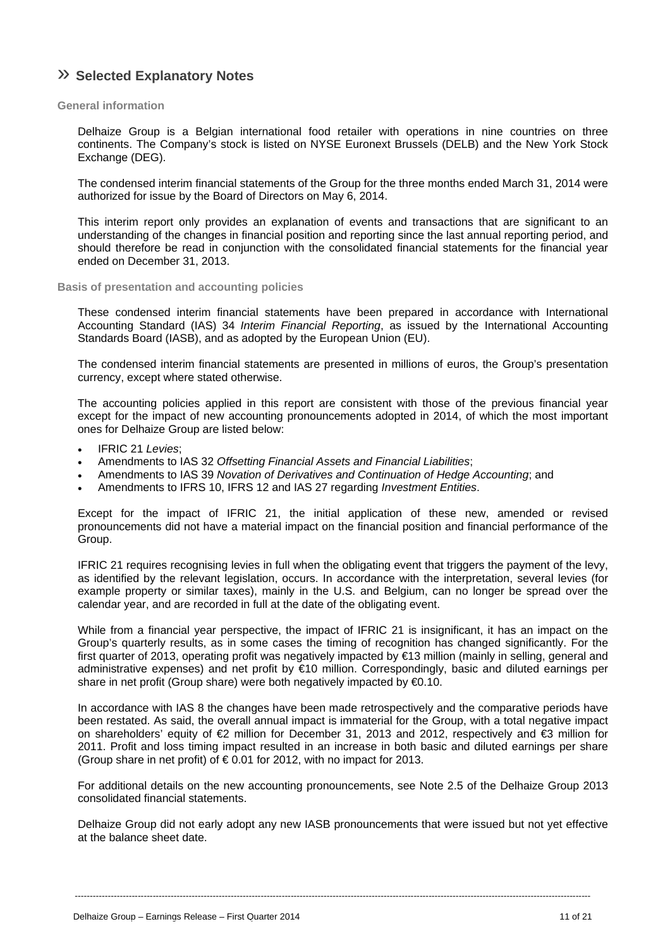# » **Selected Explanatory Notes**

#### **General information**

Delhaize Group is a Belgian international food retailer with operations in nine countries on three continents. The Company's stock is listed on NYSE Euronext Brussels (DELB) and the New York Stock Exchange (DEG).

The condensed interim financial statements of the Group for the three months ended March 31, 2014 were authorized for issue by the Board of Directors on May 6, 2014.

This interim report only provides an explanation of events and transactions that are significant to an understanding of the changes in financial position and reporting since the last annual reporting period, and should therefore be read in conjunction with the consolidated financial statements for the financial year ended on December 31, 2013.

#### **Basis of presentation and accounting policies**

These condensed interim financial statements have been prepared in accordance with International Accounting Standard (IAS) 34 *Interim Financial Reporting*, as issued by the International Accounting Standards Board (IASB), and as adopted by the European Union (EU).

The condensed interim financial statements are presented in millions of euros, the Group's presentation currency, except where stated otherwise.

The accounting policies applied in this report are consistent with those of the previous financial year except for the impact of new accounting pronouncements adopted in 2014, of which the most important ones for Delhaize Group are listed below:

- IFRIC 21 *Levies*;
- Amendments to IAS 32 *Offsetting Financial Assets and Financial Liabilities*;
- Amendments to IAS 39 *Novation of Derivatives and Continuation of Hedge Accounting*; and
- Amendments to IFRS 10, IFRS 12 and IAS 27 regarding *Investment Entities*.

Except for the impact of IFRIC 21, the initial application of these new, amended or revised pronouncements did not have a material impact on the financial position and financial performance of the Group.

IFRIC 21 requires recognising levies in full when the obligating event that triggers the payment of the levy, as identified by the relevant legislation, occurs. In accordance with the interpretation, several levies (for example property or similar taxes), mainly in the U.S. and Belgium, can no longer be spread over the calendar year, and are recorded in full at the date of the obligating event.

While from a financial year perspective, the impact of IFRIC 21 is insignificant, it has an impact on the Group's quarterly results, as in some cases the timing of recognition has changed significantly. For the first quarter of 2013, operating profit was negatively impacted by €13 million (mainly in selling, general and administrative expenses) and net profit by €10 million. Correspondingly, basic and diluted earnings per share in net profit (Group share) were both negatively impacted by €0.10.

In accordance with IAS 8 the changes have been made retrospectively and the comparative periods have been restated. As said, the overall annual impact is immaterial for the Group, with a total negative impact on shareholders' equity of €2 million for December 31, 2013 and 2012, respectively and €3 million for 2011. Profit and loss timing impact resulted in an increase in both basic and diluted earnings per share (Group share in net profit) of  $\epsilon$  0.01 for 2012, with no impact for 2013.

For additional details on the new accounting pronouncements, see Note 2.5 of the Delhaize Group 2013 consolidated financial statements.

Delhaize Group did not early adopt any new IASB pronouncements that were issued but not yet effective at the balance sheet date.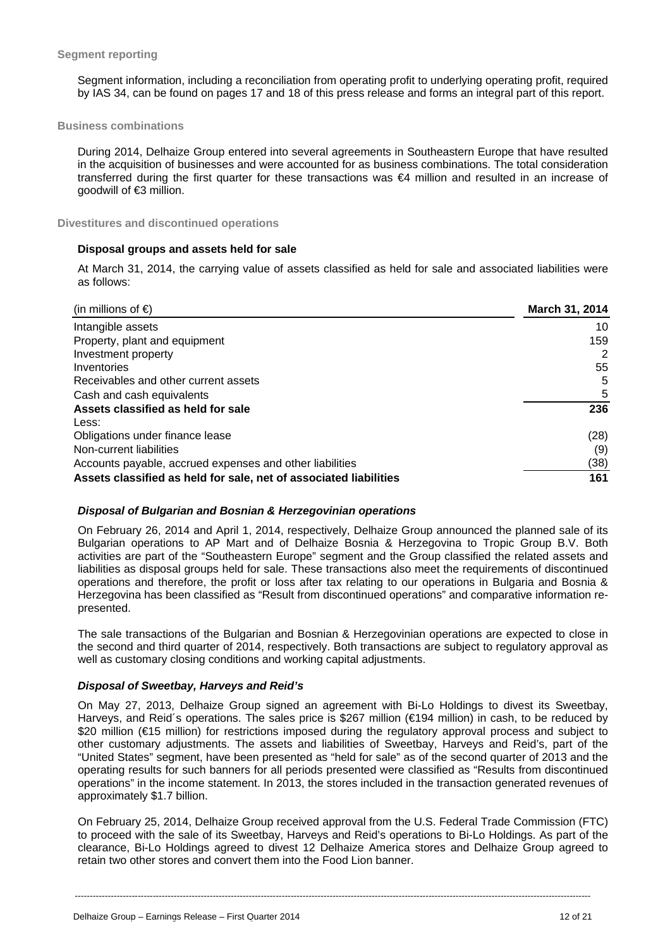Segment information, including a reconciliation from operating profit to underlying operating profit, required by IAS 34, can be found on pages 17 and 18 of this press release and forms an integral part of this report.

#### **Business combinations**

During 2014, Delhaize Group entered into several agreements in Southeastern Europe that have resulted in the acquisition of businesses and were accounted for as business combinations. The total consideration transferred during the first quarter for these transactions was €4 million and resulted in an increase of goodwill of €3 million.

**Divestitures and discontinued operations** 

#### **Disposal groups and assets held for sale**

At March 31, 2014, the carrying value of assets classified as held for sale and associated liabilities were as follows:

| (in millions of $\epsilon$ )                                      | <b>March 31, 2014</b> |
|-------------------------------------------------------------------|-----------------------|
| Intangible assets                                                 | 10                    |
| Property, plant and equipment                                     | 159                   |
| Investment property                                               | 2                     |
| Inventories                                                       | 55                    |
| Receivables and other current assets                              | 5                     |
| Cash and cash equivalents                                         | 5                     |
| Assets classified as held for sale                                | 236                   |
| Less:                                                             |                       |
| Obligations under finance lease                                   | (28)                  |
| Non-current liabilities                                           | (9)                   |
| Accounts payable, accrued expenses and other liabilities          | (38)                  |
| Assets classified as held for sale, net of associated liabilities | 161                   |

#### *Disposal of Bulgarian and Bosnian & Herzegovinian operations*

On February 26, 2014 and April 1, 2014, respectively, Delhaize Group announced the planned sale of its Bulgarian operations to AP Mart and of Delhaize Bosnia & Herzegovina to Tropic Group B.V. Both activities are part of the "Southeastern Europe" segment and the Group classified the related assets and liabilities as disposal groups held for sale. These transactions also meet the requirements of discontinued operations and therefore, the profit or loss after tax relating to our operations in Bulgaria and Bosnia & Herzegovina has been classified as "Result from discontinued operations" and comparative information represented.

The sale transactions of the Bulgarian and Bosnian & Herzegovinian operations are expected to close in the second and third quarter of 2014, respectively. Both transactions are subject to regulatory approval as well as customary closing conditions and working capital adjustments.

#### *Disposal of Sweetbay, Harveys and Reid's*

On May 27, 2013, Delhaize Group signed an agreement with Bi-Lo Holdings to divest its Sweetbay, Harveys, and Reid´s operations. The sales price is \$267 million (€194 million) in cash, to be reduced by \$20 million (€15 million) for restrictions imposed during the regulatory approval process and subject to other customary adjustments. The assets and liabilities of Sweetbay, Harveys and Reid's, part of the "United States" segment, have been presented as "held for sale" as of the second quarter of 2013 and the operating results for such banners for all periods presented were classified as "Results from discontinued operations" in the income statement. In 2013, the stores included in the transaction generated revenues of approximately \$1.7 billion.

On February 25, 2014, Delhaize Group received approval from the U.S. Federal Trade Commission (FTC) to proceed with the sale of its Sweetbay, Harveys and Reid's operations to Bi-Lo Holdings. As part of the clearance, Bi-Lo Holdings agreed to divest 12 Delhaize America stores and Delhaize Group agreed to retain two other stores and convert them into the Food Lion banner.

----------------------------------------------------------------------------------------------------------------------------------------------------------------------------

Delhaize Group – Earnings Release – First Quarter 2014 12 of 21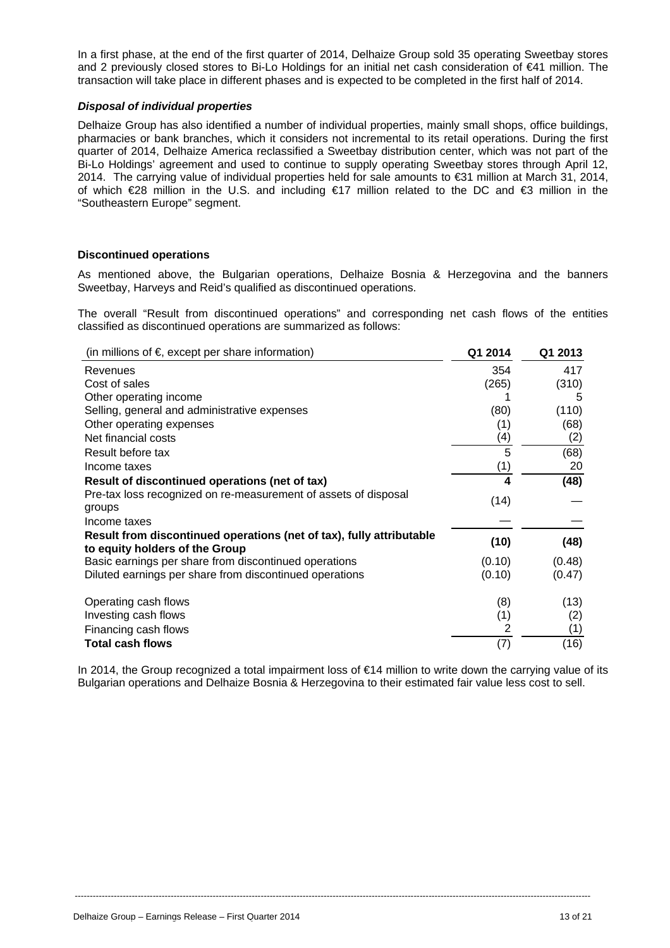In a first phase, at the end of the first quarter of 2014, Delhaize Group sold 35 operating Sweetbay stores and 2 previously closed stores to Bi-Lo Holdings for an initial net cash consideration of €41 million. The transaction will take place in different phases and is expected to be completed in the first half of 2014.

#### *Disposal of individual properties*

Delhaize Group has also identified a number of individual properties, mainly small shops, office buildings, pharmacies or bank branches, which it considers not incremental to its retail operations. During the first quarter of 2014, Delhaize America reclassified a Sweetbay distribution center, which was not part of the Bi-Lo Holdings' agreement and used to continue to supply operating Sweetbay stores through April 12, 2014. The carrying value of individual properties held for sale amounts to €31 million at March 31, 2014, of which €28 million in the U.S. and including €17 million related to the DC and €3 million in the "Southeastern Europe" segment.

#### **Discontinued operations**

As mentioned above, the Bulgarian operations, Delhaize Bosnia & Herzegovina and the banners Sweetbay, Harveys and Reid's qualified as discontinued operations.

The overall "Result from discontinued operations" and corresponding net cash flows of the entities classified as discontinued operations are summarized as follows:

| (in millions of $\epsilon$ , except per share information)           | Q1 2014 | Q1 2013 |
|----------------------------------------------------------------------|---------|---------|
| Revenues                                                             | 354     | 417     |
| Cost of sales                                                        | (265)   | (310)   |
| Other operating income                                               |         | 5       |
| Selling, general and administrative expenses                         | (80)    | (110)   |
| Other operating expenses                                             | (1)     | (68)    |
| Net financial costs                                                  | (4)     | (2)     |
| Result before tax                                                    | 5       | (68)    |
| Income taxes                                                         | (1)     | 20      |
| Result of discontinued operations (net of tax)                       | 4       | (48)    |
| Pre-tax loss recognized on re-measurement of assets of disposal      | (14)    |         |
| groups                                                               |         |         |
| Income taxes                                                         |         |         |
| Result from discontinued operations (net of tax), fully attributable | (10)    | (48)    |
| to equity holders of the Group                                       |         |         |
| Basic earnings per share from discontinued operations                | (0.10)  | (0.48)  |
| Diluted earnings per share from discontinued operations              | (0.10)  | (0.47)  |
| Operating cash flows                                                 | (8)     | (13)    |
| Investing cash flows                                                 | (1)     | (2)     |
| Financing cash flows                                                 |         | (1)     |
| Total cash flows                                                     | (7)     | (16)    |

In 2014, the Group recognized a total impairment loss of €14 million to write down the carrying value of its Bulgarian operations and Delhaize Bosnia & Herzegovina to their estimated fair value less cost to sell.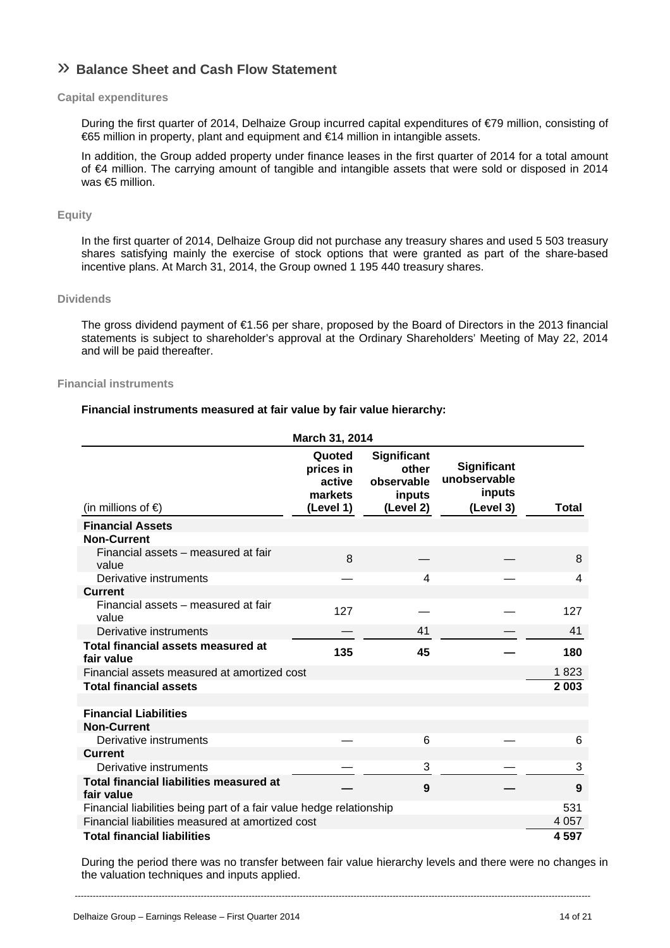# » **Balance Sheet and Cash Flow Statement**

#### **Capital expenditures**

During the first quarter of 2014, Delhaize Group incurred capital expenditures of €79 million, consisting of €65 million in property, plant and equipment and €14 million in intangible assets.

In addition, the Group added property under finance leases in the first quarter of 2014 for a total amount of €4 million. The carrying amount of tangible and intangible assets that were sold or disposed in 2014 was €5 million.

#### **Equity**

In the first quarter of 2014, Delhaize Group did not purchase any treasury shares and used 5 503 treasury shares satisfying mainly the exercise of stock options that were granted as part of the share-based incentive plans. At March 31, 2014, the Group owned 1 195 440 treasury shares.

#### **Dividends**

The gross dividend payment of €1.56 per share, proposed by the Board of Directors in the 2013 financial statements is subject to shareholder's approval at the Ordinary Shareholders' Meeting of May 22, 2014 and will be paid thereafter.

#### **Financial instruments**

#### **Financial instruments measured at fair value by fair value hierarchy:**

|                                                                     | March 31, 2014                                        |                                                           |                                                    |         |
|---------------------------------------------------------------------|-------------------------------------------------------|-----------------------------------------------------------|----------------------------------------------------|---------|
| (in millions of $\epsilon$ )                                        | Quoted<br>prices in<br>active<br>markets<br>(Level 1) | Significant<br>other<br>observable<br>inputs<br>(Level 2) | Significant<br>unobservable<br>inputs<br>(Level 3) | Total   |
| <b>Financial Assets</b>                                             |                                                       |                                                           |                                                    |         |
| <b>Non-Current</b>                                                  |                                                       |                                                           |                                                    |         |
| Financial assets – measured at fair<br>value                        | 8                                                     |                                                           |                                                    | 8       |
| Derivative instruments                                              |                                                       | 4                                                         |                                                    | 4       |
| <b>Current</b>                                                      |                                                       |                                                           |                                                    |         |
| Financial assets - measured at fair<br>value                        | 127                                                   |                                                           |                                                    | 127     |
| Derivative instruments                                              |                                                       | 41                                                        |                                                    | 41      |
| Total financial assets measured at<br>fair value                    | 135                                                   | 45                                                        |                                                    | 180     |
| Financial assets measured at amortized cost                         |                                                       |                                                           |                                                    | 1823    |
| <b>Total financial assets</b>                                       |                                                       |                                                           |                                                    | 2 0 0 3 |
|                                                                     |                                                       |                                                           |                                                    |         |
| <b>Financial Liabilities</b>                                        |                                                       |                                                           |                                                    |         |
| <b>Non-Current</b>                                                  |                                                       |                                                           |                                                    |         |
| Derivative instruments                                              |                                                       | 6                                                         |                                                    | 6       |
| <b>Current</b>                                                      |                                                       |                                                           |                                                    |         |
| Derivative instruments                                              |                                                       | 3                                                         |                                                    | 3       |
| <b>Total financial liabilities measured at</b><br>fair value        |                                                       | 9                                                         |                                                    | 9       |
| Financial liabilities being part of a fair value hedge relationship |                                                       |                                                           |                                                    | 531     |
| Financial liabilities measured at amortized cost                    |                                                       |                                                           |                                                    | 4 0 5 7 |
| <b>Total financial liabilities</b>                                  |                                                       |                                                           |                                                    | 4597    |

During the period there was no transfer between fair value hierarchy levels and there were no changes in the valuation techniques and inputs applied.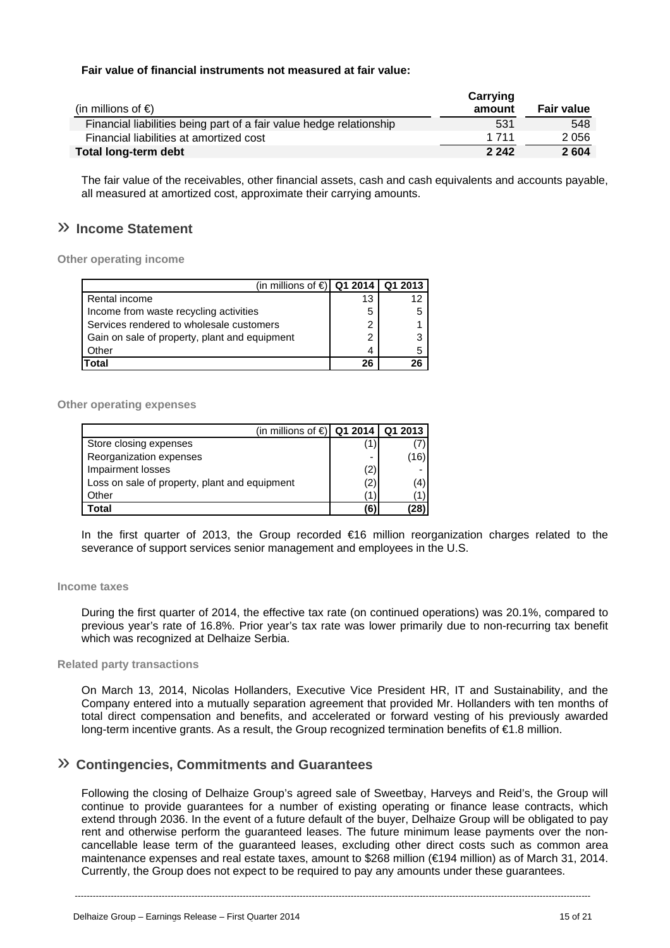#### **Fair value of financial instruments not measured at fair value:**

| (in millions of $\epsilon$ )                                        | Carrying<br>amount | <b>Fair value</b> |
|---------------------------------------------------------------------|--------------------|-------------------|
| Financial liabilities being part of a fair value hedge relationship | 531                | 548               |
| Financial liabilities at amortized cost                             | 1 7 1 1            | 2056              |
| <b>Total long-term debt</b>                                         | 2 2 4 2            | 2604              |

The fair value of the receivables, other financial assets, cash and cash equivalents and accounts payable, all measured at amortized cost, approximate their carrying amounts.

# » **Income Statement**

**Other operating income** 

| (in millions of €) Q1 2014   Q1 2013          |    |   |
|-----------------------------------------------|----|---|
| Rental income                                 | 13 |   |
| Income from waste recycling activities        | 5  |   |
| Services rendered to wholesale customers      | 2  |   |
| Gain on sale of property, plant and equipment | 2  | 3 |
| Other                                         | Δ  |   |
| Total                                         | 26 |   |

#### **Other operating expenses**

| (in millions of $\in$   Q1 2014   Q1 2013     |                          |      |
|-----------------------------------------------|--------------------------|------|
| Store closing expenses                        |                          |      |
| Reorganization expenses                       | $\overline{\phantom{0}}$ | (16) |
| Impairment losses                             | (2)                      |      |
| Loss on sale of property, plant and equipment | (2)                      | (4)  |
| Other                                         | 1                        |      |
| Total                                         | (6)                      | 28)  |

In the first quarter of 2013, the Group recorded €16 million reorganization charges related to the severance of support services senior management and employees in the U.S.

#### **Income taxes**

During the first quarter of 2014, the effective tax rate (on continued operations) was 20.1%, compared to previous year's rate of 16.8%. Prior year's tax rate was lower primarily due to non-recurring tax benefit which was recognized at Delhaize Serbia.

#### **Related party transactions**

On March 13, 2014, Nicolas Hollanders, Executive Vice President HR, IT and Sustainability, and the Company entered into a mutually separation agreement that provided Mr. Hollanders with ten months of total direct compensation and benefits, and accelerated or forward vesting of his previously awarded long-term incentive grants. As a result, the Group recognized termination benefits of €1.8 million.

### » **Contingencies, Commitments and Guarantees**

Following the closing of Delhaize Group's agreed sale of Sweetbay, Harveys and Reid's, the Group will continue to provide guarantees for a number of existing operating or finance lease contracts, which extend through 2036. In the event of a future default of the buyer, Delhaize Group will be obligated to pay rent and otherwise perform the guaranteed leases. The future minimum lease payments over the noncancellable lease term of the guaranteed leases, excluding other direct costs such as common area maintenance expenses and real estate taxes, amount to \$268 million (€194 million) as of March 31, 2014. Currently, the Group does not expect to be required to pay any amounts under these guarantees.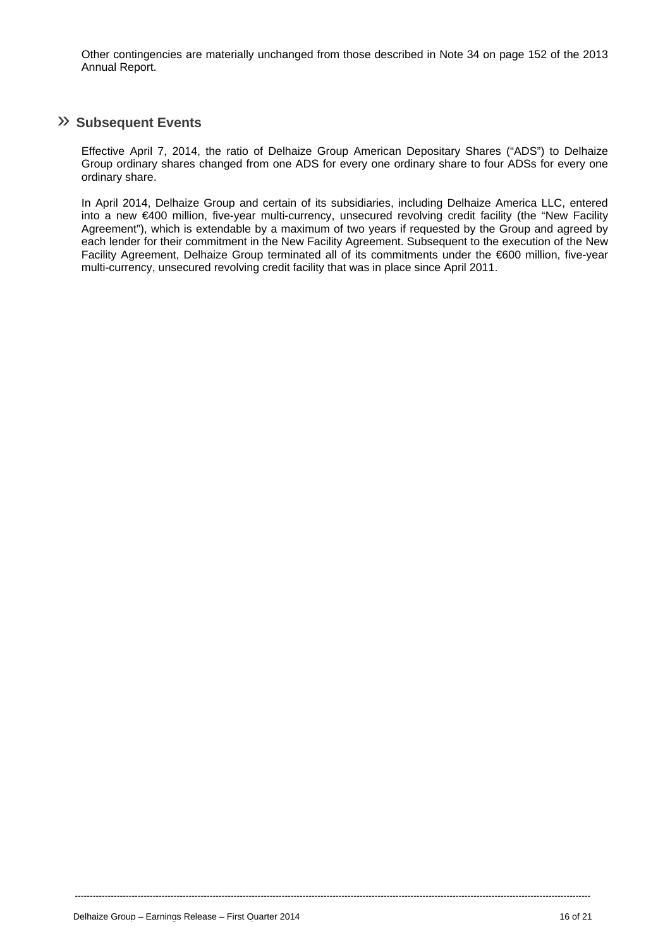Other contingencies are materially unchanged from those described in Note 34 on page 152 of the 2013 Annual Report.

### » **Subsequent Events**

Effective April 7, 2014, the ratio of Delhaize Group American Depositary Shares ("ADS") to Delhaize Group ordinary shares changed from one ADS for every one ordinary share to four ADSs for every one ordinary share.

In April 2014, Delhaize Group and certain of its subsidiaries, including Delhaize America LLC, entered into a new €400 million, five-year multi-currency, unsecured revolving credit facility (the "New Facility Agreement"), which is extendable by a maximum of two years if requested by the Group and agreed by each lender for their commitment in the New Facility Agreement. Subsequent to the execution of the New Facility Agreement, Delhaize Group terminated all of its commitments under the €600 million, five-year multi-currency, unsecured revolving credit facility that was in place since April 2011.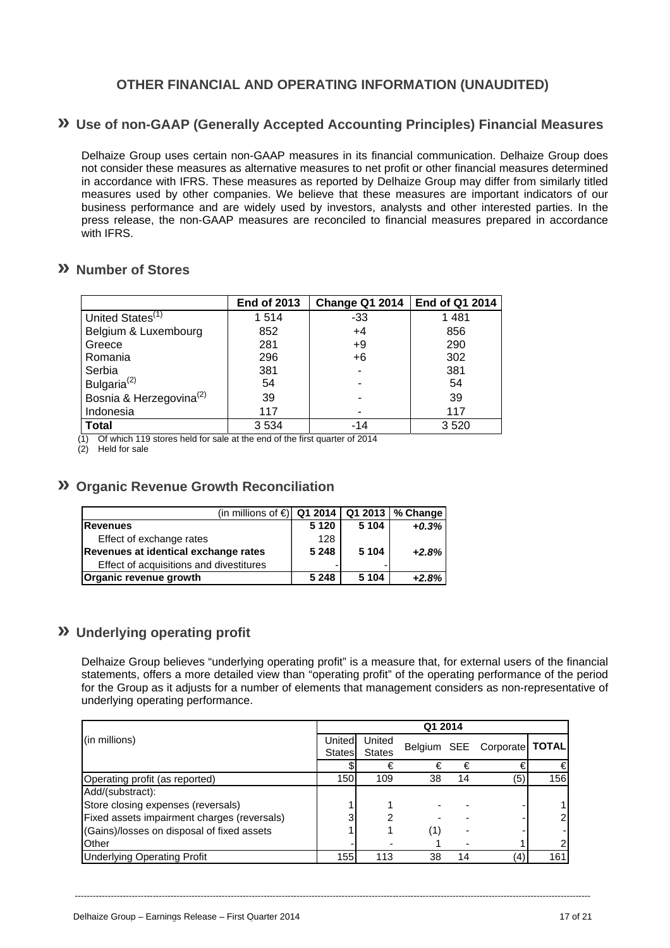# **OTHER FINANCIAL AND OPERATING INFORMATION (UNAUDITED)**

## **» Use of non-GAAP (Generally Accepted Accounting Principles) Financial Measures**

Delhaize Group uses certain non-GAAP measures in its financial communication. Delhaize Group does not consider these measures as alternative measures to net profit or other financial measures determined in accordance with IFRS. These measures as reported by Delhaize Group may differ from similarly titled measures used by other companies. We believe that these measures are important indicators of our business performance and are widely used by investors, analysts and other interested parties. In the press release, the non-GAAP measures are reconciled to financial measures prepared in accordance with IFRS.

### **» Number of Stores**

|                                     | <b>End of 2013</b> | <b>Change Q1 2014</b> | End of Q1 2014 |
|-------------------------------------|--------------------|-----------------------|----------------|
| United States <sup>(1)</sup>        | 1514               | $-33$                 | 1481           |
| Belgium & Luxembourg                | 852                | $+4$                  | 856            |
| Greece                              | 281                | $+9$                  | 290            |
| Romania                             | 296                | $+6$                  | 302            |
| Serbia                              | 381                |                       | 381            |
| Bulgaria <sup>(2)</sup>             | 54                 |                       | 54             |
| Bosnia & Herzegovina <sup>(2)</sup> | 39                 |                       | 39             |
| Indonesia                           | 117                |                       | 117            |
| <b>Total</b>                        | 3534               | -14                   | 3520           |

Of which 119 stores held for sale at the end of the first quarter of 2014

 $(2)$  Held for sale

### **» Organic Revenue Growth Reconciliation**

| (in millions of $\bigoplus$ Q1 2014   Q1 2013   % Change |         |         |         |
|----------------------------------------------------------|---------|---------|---------|
| <b>Revenues</b>                                          | 5 1 2 0 | 5 1 0 4 | $+0.3%$ |
| Effect of exchange rates                                 | 128     |         |         |
| Revenues at identical exchange rates                     | 5 2 4 8 | 5 1 0 4 | $+2.8%$ |
| Effect of acquisitions and divestitures                  | -       |         |         |
| Organic revenue growth                                   | 5 2 4 8 | 5 104   | $+2.8%$ |

## **» Underlying operating profit**

Delhaize Group believes "underlying operating profit" is a measure that, for external users of the financial statements, offers a more detailed view than "operating profit" of the operating performance of the period for the Group as it adjusts for a number of elements that management considers as non-representative of underlying operating performance.

|                                             | Q1 2014       |               |    |    |                             |                |
|---------------------------------------------|---------------|---------------|----|----|-----------------------------|----------------|
| (in millions)                               | United        | United        |    |    | Belgium SEE Corporate TOTAL |                |
|                                             | <b>States</b> | <b>States</b> |    |    |                             |                |
|                                             |               | €             | €  | €  |                             | €              |
| Operating profit (as reported)              | 150           | 109           | 38 | 14 | (5)                         | 156            |
| Add/(substract):                            |               |               |    |    |                             |                |
| Store closing expenses (reversals)          |               |               |    |    |                             |                |
| Fixed assets impairment charges (reversals) |               |               |    |    |                             | $\overline{2}$ |
| (Gains)/losses on disposal of fixed assets  |               |               | (1 |    |                             |                |
| <b>O</b> ther                               |               |               |    |    |                             | $\overline{c}$ |
| <b>Underlying Operating Profit</b>          | 155           | 113           | 38 | 14 | (4)                         | 161            |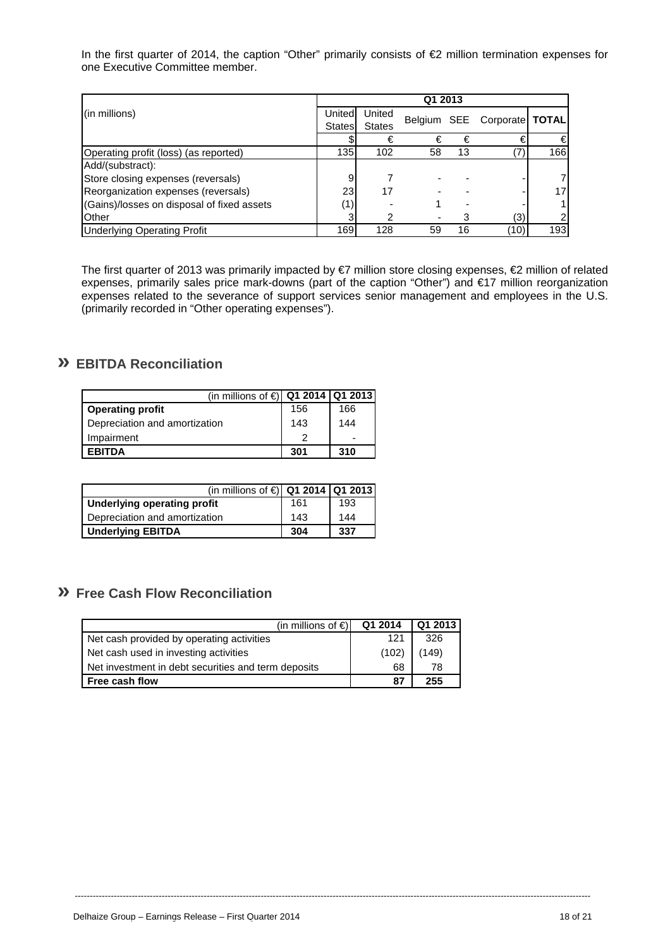In the first quarter of 2014, the caption "Other" primarily consists of €2 million termination expenses for one Executive Committee member.

|                                            | Q1 2013 |               |    |    |                             |     |
|--------------------------------------------|---------|---------------|----|----|-----------------------------|-----|
| (in millions)                              | United  | United        |    |    | Belgium SEE Corporate TOTAL |     |
|                                            | States  | <b>States</b> |    |    |                             |     |
|                                            |         | €             | €  | €  | €                           | €   |
| Operating profit (loss) (as reported)      | 135     | 102           | 58 | 13 |                             | 166 |
| Add/(substract):                           |         |               |    |    |                             |     |
| Store closing expenses (reversals)         | 9       |               |    |    |                             | 7   |
| Reorganization expenses (reversals)        | 23      | 17            |    |    |                             | 17  |
| (Gains)/losses on disposal of fixed assets |         |               |    |    |                             | 1.  |
| <b>O</b> ther                              |         |               |    |    | (3)                         | 2   |
| <b>Underlying Operating Profit</b>         | 169     | 128           | 59 | 16 | (10)                        | 193 |

The first quarter of 2013 was primarily impacted by €7 million store closing expenses, €2 million of related expenses, primarily sales price mark-downs (part of the caption "Other") and €17 million reorganization expenses related to the severance of support services senior management and employees in the U.S. (primarily recorded in "Other operating expenses").

# **» EBITDA Reconciliation**

| (in millions of $\in$   Q1 2014   Q1 2013 |     |                          |
|-------------------------------------------|-----|--------------------------|
| <b>Operating profit</b>                   | 156 | 166                      |
| Depreciation and amortization             | 143 | 144                      |
| Impairment                                |     | $\overline{\phantom{0}}$ |
| <b>FRITDA</b>                             | 301 | 310                      |

| (in millions of $\in$   Q1 2014   Q1 2013 |     |     |
|-------------------------------------------|-----|-----|
| <b>Underlying operating profit</b>        | 161 | 193 |
| Depreciation and amortization             | 143 | 144 |
| <b>Underlying EBITDA</b>                  | 304 | 337 |

# **» Free Cash Flow Reconciliation**

| (in millions of $\epsilon$ )                        | Q1 2014 | Q1 2013 |
|-----------------------------------------------------|---------|---------|
| Net cash provided by operating activities           | 121     | 326     |
| Net cash used in investing activities               | (102)   | (149)   |
| Net investment in debt securities and term deposits | 68      | 78      |
| Free cash flow                                      | 87      | 255     |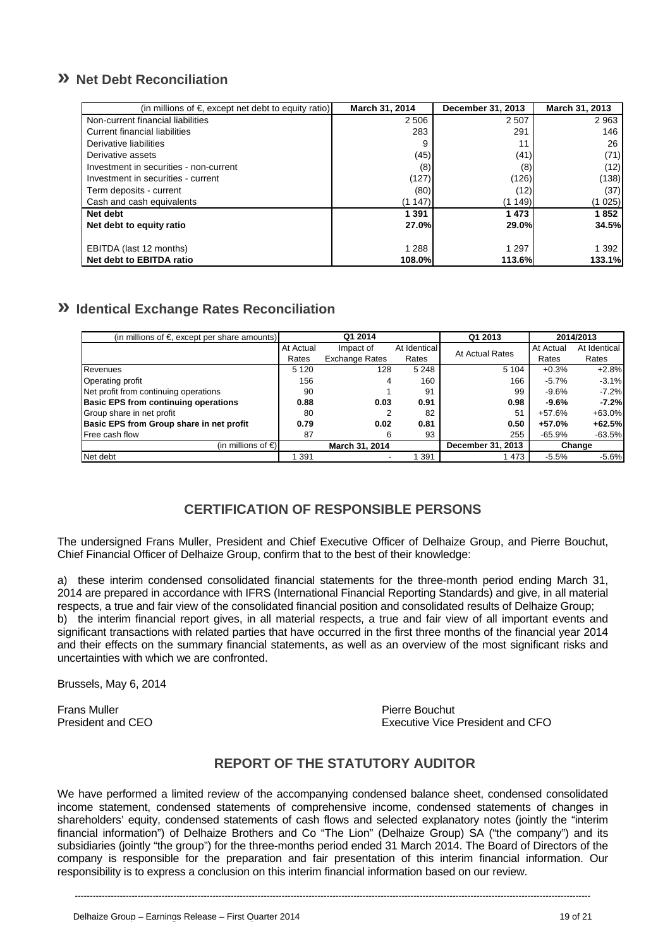# **» Net Debt Reconciliation**

| (in millions of $\epsilon$ , except net debt to equity ratio) | March 31, 2014 | December 31, 2013 | March 31, 2013 |
|---------------------------------------------------------------|----------------|-------------------|----------------|
| Non-current financial liabilities                             | 2 5 0 6        | 2507              | 2963           |
| Current financial liabilities                                 | 283            | 291               | 146            |
| Derivative liabilities                                        |                |                   | 26             |
| Derivative assets                                             | (45)           | (41)              | (71)           |
| Investment in securities - non-current                        | (8)            | (8)               | (12)           |
| Investment in securities - current                            | (127)          | (126)             | (138)          |
| Term deposits - current                                       | (80)           | (12)              | (37)           |
| Cash and cash equivalents                                     | (1147)         | (1 149)           | (1 025)        |
| Net debt                                                      | 1 391          | 1473              | 1852           |
| Net debt to equity ratio                                      | 27.0%          | <b>29.0%</b>      | 34.5%l         |
|                                                               |                |                   |                |
| EBITDA (last 12 months)                                       | 1 2 8 8        | 1 2 9 7           | 1 3 9 2        |
| Net debt to EBITDA ratio                                      | 108.0%         | 113.6%            | 133.1%         |

# **» Identical Exchange Rates Reconciliation**

| (in millions of $\epsilon$ , except per share amounts) | Q1 2014   |                       | Q1 2013      |                   | 2014/2013 |              |
|--------------------------------------------------------|-----------|-----------------------|--------------|-------------------|-----------|--------------|
|                                                        | At Actual | Impact of             | At Identical | At Actual Rates   | At Actual | At Identical |
|                                                        | Rates     | <b>Exchange Rates</b> | Rates        |                   | Rates     | Rates        |
| Revenues                                               | 5 1 2 0   | 128                   | 5 2 4 8      | 5 1 0 4           | $+0.3%$   | $+2.8%$      |
| Operating profit                                       | 156       | 4                     | 160          | 166               | $-5.7%$   | $-3.1%$      |
| Net profit from continuing operations                  | 90        |                       | 91           | 99                | $-9.6%$   | $-7.2%$      |
| <b>Basic EPS from continuing operations</b>            | 0.88      | 0.03                  | 0.91         | 0.98              | $-9.6%$   | $-7.2%$      |
| Group share in net profit                              | 80        | 2                     | 82           | 51                | $+57.6%$  | $+63.0%$     |
| Basic EPS from Group share in net profit               | 0.79      | 0.02                  | 0.81         | 0.50              | +57.0%    | $+62.5%$     |
| Free cash flow                                         | 87        | 6                     | 93           | 255               | $-65.9%$  | $-63.5%$     |
| (in millions of $\bigoplus$                            |           | March 31, 2014        |              | December 31, 2013 |           | Change       |
| Net debt                                               | 391       |                       | 1 391        | 473               | $-5.5%$   | $-5.6%$      |

## **CERTIFICATION OF RESPONSIBLE PERSONS**

The undersigned Frans Muller, President and Chief Executive Officer of Delhaize Group, and Pierre Bouchut, Chief Financial Officer of Delhaize Group, confirm that to the best of their knowledge:

a) these interim condensed consolidated financial statements for the three-month period ending March 31, 2014 are prepared in accordance with IFRS (International Financial Reporting Standards) and give, in all material respects, a true and fair view of the consolidated financial position and consolidated results of Delhaize Group; b) the interim financial report gives, in all material respects, a true and fair view of all important events and significant transactions with related parties that have occurred in the first three months of the financial year 2014 and their effects on the summary financial statements, as well as an overview of the most significant risks and uncertainties with which we are confronted.

Brussels, May 6, 2014

Frans Muller National CEO<br>
President and CEO<br>
President and CEO

Executive Vice President and CFO

# **REPORT OF THE STATUTORY AUDITOR**

We have performed a limited review of the accompanying condensed balance sheet, condensed consolidated income statement, condensed statements of comprehensive income, condensed statements of changes in shareholders' equity, condensed statements of cash flows and selected explanatory notes (jointly the "interim financial information") of Delhaize Brothers and Co "The Lion" (Delhaize Group) SA ("the company") and its subsidiaries (jointly "the group") for the three-months period ended 31 March 2014. The Board of Directors of the company is responsible for the preparation and fair presentation of this interim financial information. Our responsibility is to express a conclusion on this interim financial information based on our review.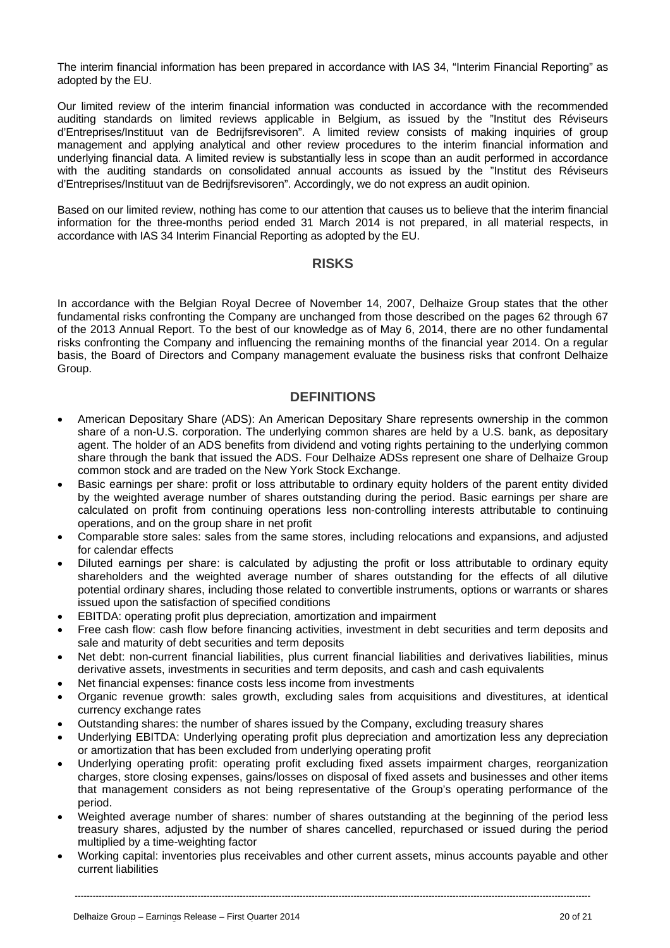The interim financial information has been prepared in accordance with IAS 34, "Interim Financial Reporting" as adopted by the EU.

Our limited review of the interim financial information was conducted in accordance with the recommended auditing standards on limited reviews applicable in Belgium, as issued by the "Institut des Réviseurs d'Entreprises/Instituut van de Bedrijfsrevisoren". A limited review consists of making inquiries of group management and applying analytical and other review procedures to the interim financial information and underlying financial data. A limited review is substantially less in scope than an audit performed in accordance with the auditing standards on consolidated annual accounts as issued by the "Institut des Réviseurs d'Entreprises/Instituut van de Bedrijfsrevisoren". Accordingly, we do not express an audit opinion.

Based on our limited review, nothing has come to our attention that causes us to believe that the interim financial information for the three-months period ended 31 March 2014 is not prepared, in all material respects, in accordance with IAS 34 Interim Financial Reporting as adopted by the EU.

### **RISKS**

In accordance with the Belgian Royal Decree of November 14, 2007, Delhaize Group states that the other fundamental risks confronting the Company are unchanged from those described on the pages 62 through 67 of the 2013 Annual Report. To the best of our knowledge as of May 6, 2014, there are no other fundamental risks confronting the Company and influencing the remaining months of the financial year 2014. On a regular basis, the Board of Directors and Company management evaluate the business risks that confront Delhaize Group.

### **DEFINITIONS**

- American Depositary Share (ADS): An American Depositary Share represents ownership in the common share of a non-U.S. corporation. The underlying common shares are held by a U.S. bank, as depositary agent. The holder of an ADS benefits from dividend and voting rights pertaining to the underlying common share through the bank that issued the ADS. Four Delhaize ADSs represent one share of Delhaize Group common stock and are traded on the New York Stock Exchange.
- Basic earnings per share: profit or loss attributable to ordinary equity holders of the parent entity divided by the weighted average number of shares outstanding during the period. Basic earnings per share are calculated on profit from continuing operations less non-controlling interests attributable to continuing operations, and on the group share in net profit
- Comparable store sales: sales from the same stores, including relocations and expansions, and adjusted for calendar effects
- Diluted earnings per share: is calculated by adjusting the profit or loss attributable to ordinary equity shareholders and the weighted average number of shares outstanding for the effects of all dilutive potential ordinary shares, including those related to convertible instruments, options or warrants or shares issued upon the satisfaction of specified conditions
- EBITDA: operating profit plus depreciation, amortization and impairment
- Free cash flow: cash flow before financing activities, investment in debt securities and term deposits and sale and maturity of debt securities and term deposits
- Net debt: non-current financial liabilities, plus current financial liabilities and derivatives liabilities, minus derivative assets, investments in securities and term deposits, and cash and cash equivalents
- Net financial expenses: finance costs less income from investments
- Organic revenue growth: sales growth, excluding sales from acquisitions and divestitures, at identical currency exchange rates
- Outstanding shares: the number of shares issued by the Company, excluding treasury shares
- Underlying EBITDA: Underlying operating profit plus depreciation and amortization less any depreciation or amortization that has been excluded from underlying operating profit
- Underlying operating profit: operating profit excluding fixed assets impairment charges, reorganization charges, store closing expenses, gains/losses on disposal of fixed assets and businesses and other items that management considers as not being representative of the Group's operating performance of the period.
- Weighted average number of shares: number of shares outstanding at the beginning of the period less treasury shares, adjusted by the number of shares cancelled, repurchased or issued during the period multiplied by a time-weighting factor
- Working capital: inventories plus receivables and other current assets, minus accounts payable and other current liabilities